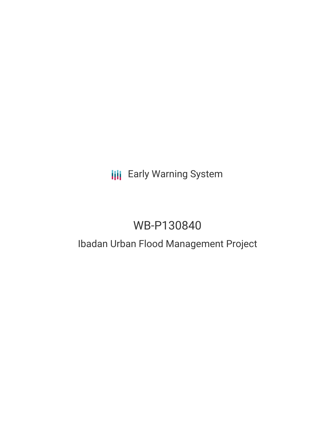# **III** Early Warning System

# WB-P130840

# Ibadan Urban Flood Management Project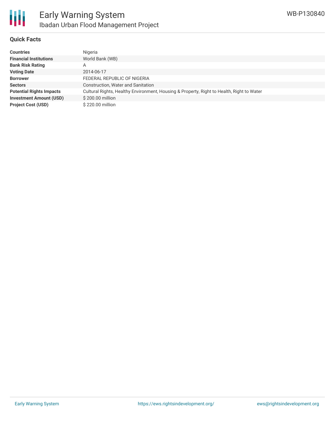

### **Quick Facts**

| <b>Countries</b>                | Nigeria                                                                                   |
|---------------------------------|-------------------------------------------------------------------------------------------|
| <b>Financial Institutions</b>   | World Bank (WB)                                                                           |
| <b>Bank Risk Rating</b>         | Α                                                                                         |
| <b>Voting Date</b>              | 2014-06-17                                                                                |
| <b>Borrower</b>                 | FEDERAL REPUBLIC OF NIGERIA                                                               |
| <b>Sectors</b>                  | Construction, Water and Sanitation                                                        |
| <b>Potential Rights Impacts</b> | Cultural Rights, Healthy Environment, Housing & Property, Right to Health, Right to Water |
| <b>Investment Amount (USD)</b>  | \$200.00 million                                                                          |
| <b>Project Cost (USD)</b>       | \$220.00 million                                                                          |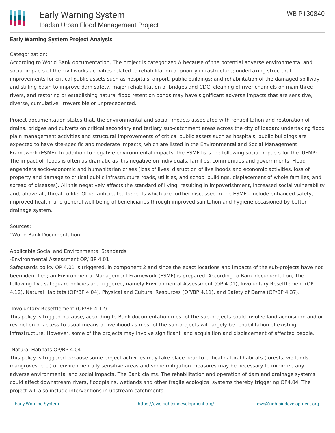

### **Early Warning System Project Analysis**

#### Categorization:

According to World Bank documentation, The project is categorized A because of the potential adverse environmental and social impacts of the civil works activities related to rehabilitation of priority infrastructure; undertaking structural improvements for critical public assets such as hospitals, airport, public buildings; and rehabilitation of the damaged spillway and stilling basin to improve dam safety, major rehabilitation of bridges and CDC, cleaning of river channels on main three rivers, and restoring or establishing natural flood retention ponds may have significant adverse impacts that are sensitive, diverse, cumulative, irreversible or unprecedented.

Project documentation states that, the environmental and social impacts associated with rehabilitation and restoration of drains, bridges and culverts on critical secondary and tertiary sub-catchment areas across the city of Ibadan; undertaking flood plain management activities and structural improvements of critical public assets such as hospitals, public buildings are expected to have site-specific and moderate impacts, which are listed in the Environmental and Social Management Framework (ESMF). In addition to negative environmental impacts, the ESMF lists the following social impacts for the IUFMP: The impact of floods is often as dramatic as it is negative on individuals, families, communities and governments. Flood engenders socio-economic and humanitarian crises (loss of lives, disruption of livelihoods and economic activities, loss of property and damage to critical public infrastructure roads, utilities, and school buildings, displacement of whole families, and spread of diseases). All this negatively affects the standard of living, resulting in impoverishment, increased social vulnerability and, above all, threat to life. Other anticipated benefits which are further discussed in the ESMF - include enhanced safety, improved health, and general well-being of beneficiaries through improved sanitation and hygiene occasioned by better drainage system.

Sources:

\*World Bank Documentation

Applicable Social and Environmental Standards

-Environmental Assessment OP/ BP 4.01

Safeguards policy OP 4.01 is triggered, in component 2 and since the exact locations and impacts of the sub-projects have not been identified; an Environmental Management Framework (ESMF) is prepared. According to Bank documentation, The following five safeguard policies are triggered, namely Environmental Assessment (OP 4.01), Involuntary Resettlement (OP 4.12), Natural Habitats (OP/BP 4.04), Physical and Cultural Resources (OP/BP 4.11), and Safety of Dams (OP/BP 4.37).

#### -Involuntary Resettlement (OP/BP 4.12)

This policy is trigged because, according to Bank documentation most of the sub-projects could involve land acquisition and or restriction of access to usual means of livelihood as most of the sub-projects will largely be rehabilitation of existing infrastructure. However, some of the projects may involve significant land acquisition and displacement of affected people.

#### -Natural Habitats OP/BP 4.04

This policy is triggered because some project activities may take place near to critical natural habitats (forests, wetlands, mangroves, etc.) or environmentally sensitive areas and some mitigation measures may be necessary to minimize any adverse environmental and social impacts. The Bank claims, The rehabilitation and operation of dam and drainage systems could affect downstream rivers, floodplains, wetlands and other fragile ecological systems thereby triggering OP4.04. The project will also include interventions in upstream catchments.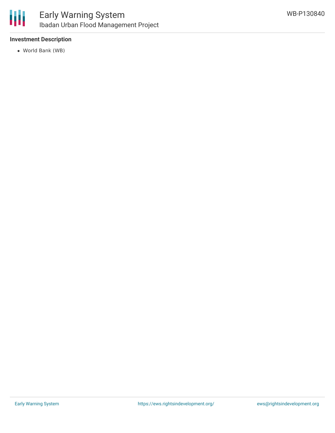

### **Investment Description**

World Bank (WB)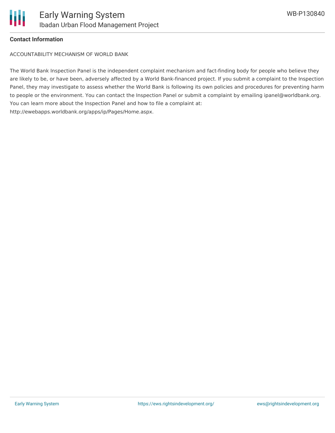

## **Contact Information**

ACCOUNTABILITY MECHANISM OF WORLD BANK

The World Bank Inspection Panel is the independent complaint mechanism and fact-finding body for people who believe they are likely to be, or have been, adversely affected by a World Bank-financed project. If you submit a complaint to the Inspection Panel, they may investigate to assess whether the World Bank is following its own policies and procedures for preventing harm to people or the environment. You can contact the Inspection Panel or submit a complaint by emailing ipanel@worldbank.org. You can learn more about the Inspection Panel and how to file a complaint at: http://ewebapps.worldbank.org/apps/ip/Pages/Home.aspx.